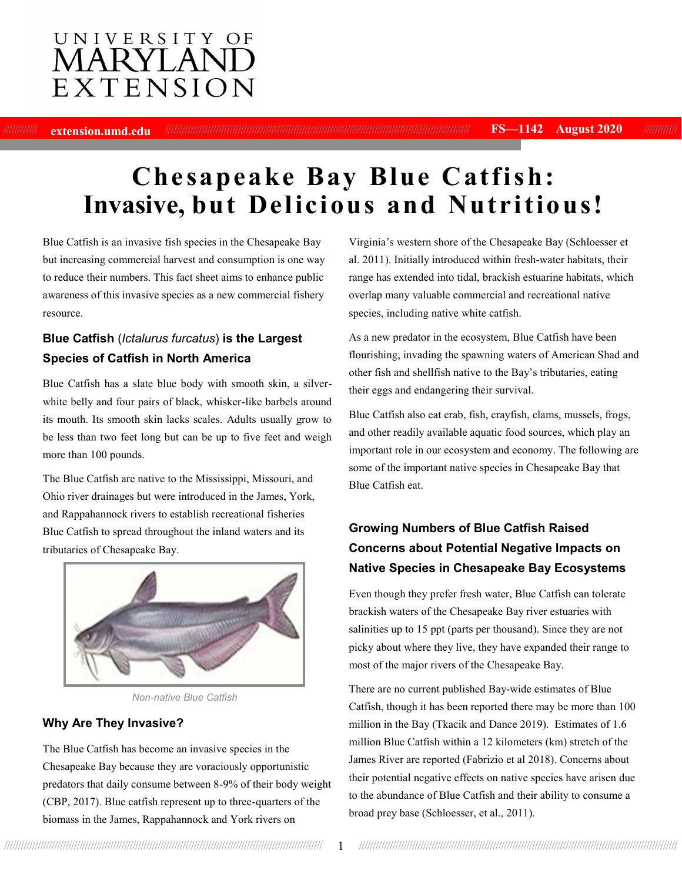# UNIVERSITY OF **MARYLAN** EXTENSION

//////////// **extension.umd.edu** ///////////////////////////////////////////////////////////////////////////////////////////////////////////// **FS—1142 August 2020** ////////////

# **Che sapeake Bay Blue Catfish: Invasive, but Delicious and Nutritious!**

Blue Catfish is an invasive fish species in the Chesapeake Bay but increasing commercial harvest and consumption is one way to reduce their numbers. This fact sheet aims to enhance public awareness of this invasive species as a new commercial fishery resource.

#### **Blue Catfish** (*Ictalurus furcatus*) **is the Largest Species of Catfish in North America**

Blue Catfish has a slate blue body with smooth skin, a silverwhite belly and four pairs of black, whisker-like barbels around its mouth. Its smooth skin lacks scales. Adults usually grow to be less than two feet long but can be up to five feet and weigh more than 100 pounds.

The Blue Catfish are native to the Mississippi, Missouri, and Ohio river drainages but were introduced in the James, York, and Rappahannock rivers to establish recreational fisheries Blue Catfish to spread throughout the inland waters and its tributaries of Chesapeake Bay.



*Non-native Blue Catfish*

#### **Why Are They Invasive?**

The Blue Catfish has become an invasive species in the Chesapeake Bay because they are voraciously opportunistic predators that daily consume between 8-9% of their body weight (CBP, 2017). Blue catfish represent up to three-quarters of the biomass in the James, Rappahannock and York rivers on

Virginia's western shore of the Chesapeake Bay (Schloesser et al. 2011). Initially introduced within fresh-water habitats, their range has extended into tidal, brackish estuarine habitats, which overlap many valuable commercial and recreational native species, including native white catfish.

As a new predator in the ecosystem, Blue Catfish have been flourishing, invading the spawning waters of American Shad and other fish and shellfish native to the Bay's tributaries, eating their eggs and endangering their survival.

Blue Catfish also eat crab, fish, crayfish, clams, mussels, frogs, and other readily available aquatic food sources, which play an important role in our ecosystem and economy. The following are some of the important native species in Chesapeake Bay that Blue Catfish eat.

# **Growing Numbers of Blue Catfish Raised Concerns about Potential Negative Impacts on Native Species in Chesapeake Bay Ecosystems**

Even though they prefer fresh water, Blue Catfish can tolerate brackish waters of the Chesapeake Bay river estuaries with salinities up to 15 ppt (parts per thousand). Since they are not picky about where they live, they have expanded their range to most of the major rivers of the Chesapeake Bay.

There are no current published Bay-wide estimates of Blue Catfish, though it has been reported there may be more than 100 million in the Bay (Tkacik and Dance 2019). Estimates of 1.6 million Blue Catfish within a 12 kilometers (km) stretch of the James River are reported (Fabrizio et al 2018). Concerns about their potential negative effects on native species have arisen due to the abundance of Blue Catfish and their ability to consume a broad prey base (Schloesser, et al., 2011).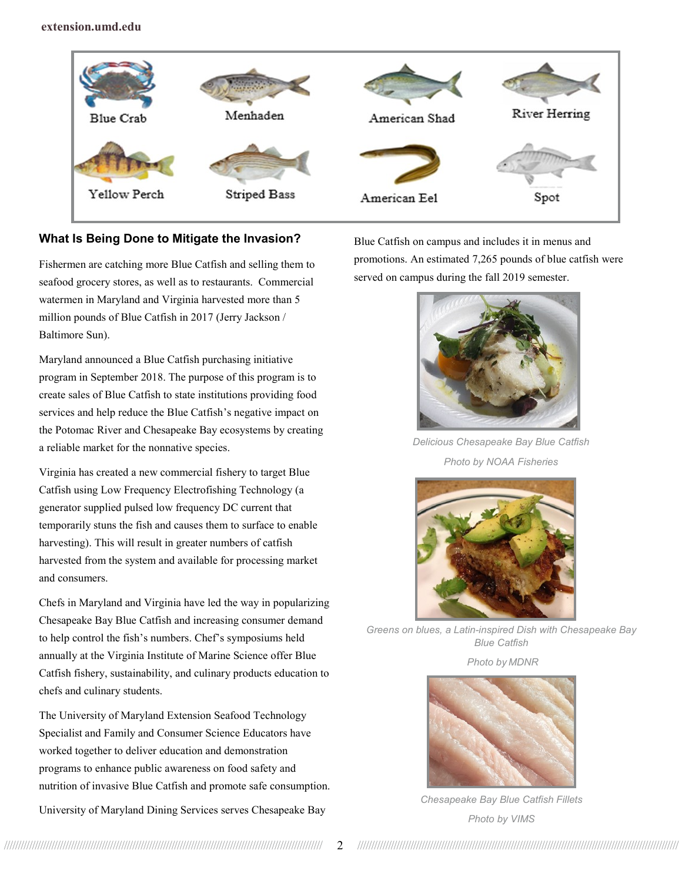

#### **What Is Being Done to Mitigate the Invasion?**

Fishermen are catching more Blue Catfish and selling them to seafood grocery stores, as well as to restaurants. Commercial watermen in Maryland and Virginia harvested more than 5 million pounds of Blue Catfish in 2017 (Jerry Jackson / Baltimore Sun).

Maryland announced a Blue Catfish purchasing initiative program in September 2018. The purpose of this program is to create sales of Blue Catfish to state institutions providing food services and help reduce the Blue Catfish's negative impact on the Potomac River and Chesapeake Bay ecosystems by creating a reliable market for the nonnative species.

Virginia has created a new commercial fishery to target Blue Catfish using Low Frequency Electrofishing Technology (a generator supplied pulsed low frequency DC current that temporarily stuns the fish and causes them to surface to enable harvesting). This will result in greater numbers of catfish harvested from the system and available for processing market and consumers.

Chefs in Maryland and Virginia have led the way in popularizing Chesapeake Bay Blue Catfish and increasing consumer demand to help control the fish's numbers. Chef's symposiums held annually at the Virginia Institute of Marine Science offer Blue Catfish fishery, sustainability, and culinary products education to chefs and culinary students.

The University of Maryland Extension Seafood Technology Specialist and Family and Consumer Science Educators have worked together to deliver education and demonstration programs to enhance public awareness on food safety and nutrition of invasive Blue Catfish and promote safe consumption.

University of Maryland Dining Services serves Chesapeake Bay

Blue Catfish on campus and includes it in menus and promotions. An estimated 7,265 pounds of blue catfish were served on campus during the fall 2019 semester.



*Delicious Chesapeake Bay Blue Catfish Photo by NOAA Fisheries*



*Greens on blues, a Latin-inspired Dish with Chesapeake Bay Blue Catfish*

*Photo by MDNR*



*Chesapeake Bay Blue Catfish Fillets Photo by VIMS*

////////////////////////////////////////////////////////////////////////////////////////////////////////////////// 2 ///////////////////////////////////////////////////////////////////////////////////////////////////////////////////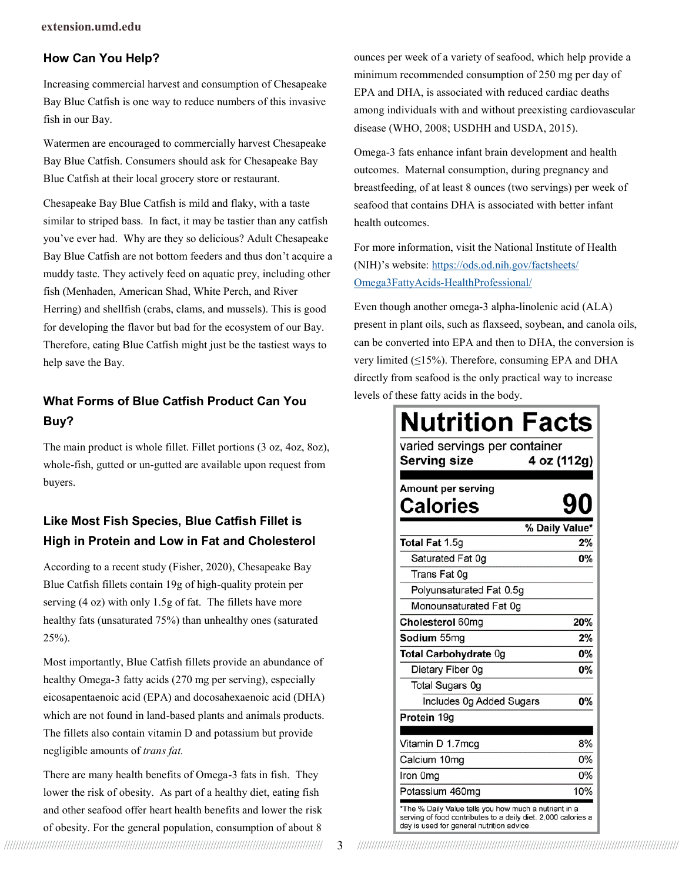#### **How Can You Help?**

Increasing commercial harvest and consumption of Chesapeake Bay Blue Catfish is one way to reduce numbers of this invasive fish in our Bay.

Watermen are encouraged to commercially harvest Chesapeake Bay Blue Catfish. Consumers should ask for Chesapeake Bay Blue Catfish at their local grocery store or restaurant.

Chesapeake Bay Blue Catfish is mild and flaky, with a taste similar to striped bass. In fact, it may be tastier than any catfish you've ever had. Why are they so delicious? Adult Chesapeake Bay Blue Catfish are not bottom feeders and thus don't acquire a muddy taste. They actively feed on aquatic prey, including other fish (Menhaden, American Shad, White Perch, and River Herring) and shellfish (crabs, clams, and mussels). This is good for developing the flavor but bad for the ecosystem of our Bay. Therefore, eating Blue Catfish might just be the tastiest ways to help save the Bay.

### **What Forms of Blue Catfish Product Can You Buy?**

The main product is whole fillet. Fillet portions (3 oz, 4oz, 8oz), whole-fish, gutted or un-gutted are available upon request from buyers.

# **Like Most Fish Species, Blue Catfish Fillet is High in Protein and Low in Fat and Cholesterol**

According to a recent study (Fisher, 2020), Chesapeake Bay Blue Catfish fillets contain 19g of high-quality protein per serving (4 oz) with only 1.5g of fat. The fillets have more healthy fats (unsaturated 75%) than unhealthy ones (saturated 25%).

Most importantly, Blue Catfish fillets provide an abundance of healthy Omega-3 fatty acids (270 mg per serving), especially eicosapentaenoic acid (EPA) and docosahexaenoic acid (DHA) which are not found in land-based plants and animals products. The fillets also contain vitamin D and potassium but provide negligible amounts of *trans fat.*

There are many health benefits of Omega-3 fats in fish. They lower the risk of obesity. As part of a healthy diet, eating fish and other seafood offer heart health benefits and lower the risk of obesity. For the general population, consumption of about 8

ounces per week of a variety of seafood, which help provide a minimum recommended consumption of 250 mg per day of EPA and DHA, is associated with reduced cardiac deaths among individuals with and without preexisting cardiovascular disease (WHO, 2008; USDHH and USDA, 2015).

Omega-3 fats enhance infant brain development and health outcomes. Maternal consumption, during pregnancy and breastfeeding, of at least 8 ounces (two servings) per week of seafood that contains DHA is associated with better infant health outcomes.

For more information, visit the National Institute of Health (NIH)'s website: [https://ods.od.nih.gov/factsheets/](https://ods.od.nih.gov/factsheets/Omega3FattyAcids-HealthProfessional/) Omega3FattyAcids-[HealthProfessional/](https://ods.od.nih.gov/factsheets/Omega3FattyAcids-HealthProfessional/)

Even though another omega-3 alpha-linolenic acid (ALA) present in plant oils, such as flaxseed, soybean, and canola oils, can be converted into EPA and then to DHA, the conversion is very limited (≤15%). Therefore, consuming EPA and DHA directly from seafood is the only practical way to increase levels of these fatty acids in the body.

| <b>Nutrition Facts</b><br>varied servings per container<br>4 oz (112g)<br>Serving size                                                                              |     |
|---------------------------------------------------------------------------------------------------------------------------------------------------------------------|-----|
| Amount per serving<br>Calories                                                                                                                                      |     |
| % Daily Value*                                                                                                                                                      |     |
| Total Fat 1.5g                                                                                                                                                      | 2%  |
| Saturated Fat 0g                                                                                                                                                    | 0%  |
| Trans Fat 0g                                                                                                                                                        |     |
| Polyunsaturated Fat 0.5g                                                                                                                                            |     |
| Monounsaturated Fat 0g                                                                                                                                              |     |
| Cholesterol 60mg                                                                                                                                                    | 20% |
| Sodium 55mg                                                                                                                                                         | 2%  |
| Total Carbohydrate 0g                                                                                                                                               | 0%  |
| Dietary Fiber 0g                                                                                                                                                    | 0%  |
| <b>Total Sugars Og</b>                                                                                                                                              |     |
| Includes 0g Added Sugars                                                                                                                                            | 0%  |
| Protein 19g                                                                                                                                                         |     |
|                                                                                                                                                                     |     |
| Vitamin D 1.7mcg                                                                                                                                                    | 8%  |
| Calcium 10mg                                                                                                                                                        | 0%  |
| Iron 0mg                                                                                                                                                            | 0%  |
| Potassium 460mg                                                                                                                                                     | 10% |
| *The % Daily Value tells you how much a nutrient in a<br>serving of food contributes to a daily diet. 2,000 calories a<br>day is used for general nutrition advice. |     |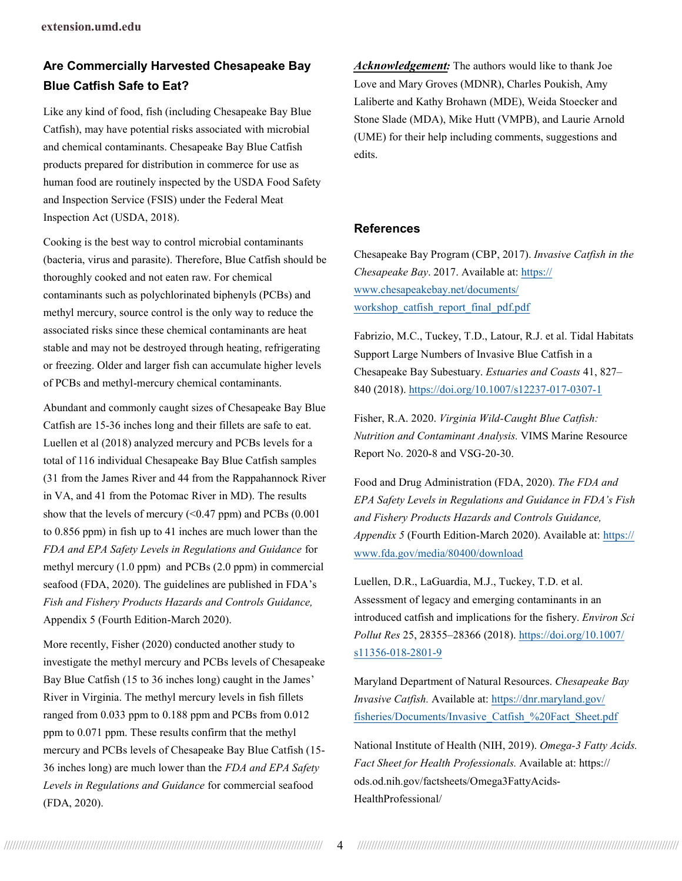# **Are Commercially Harvested Chesapeake Bay Blue Catfish Safe to Eat?**

Like any kind of food, fish (including Chesapeake Bay Blue Catfish), may have potential risks associated with microbial and chemical contaminants. Chesapeake Bay Blue Catfish products prepared for distribution in commerce for use as human food are routinely inspected by the USDA Food Safety and Inspection Service (FSIS) under the Federal Meat Inspection Act (USDA, 2018).

Cooking is the best way to control microbial contaminants (bacteria, virus and parasite). Therefore, Blue Catfish should be thoroughly cooked and not eaten raw. For chemical contaminants such as polychlorinated biphenyls (PCBs) and methyl mercury, source control is the only way to reduce the associated risks since these chemical contaminants are heat stable and may not be destroyed through heating, refrigerating or freezing. Older and larger fish can accumulate higher levels of PCBs and methyl-mercury chemical contaminants.

Abundant and commonly caught sizes of Chesapeake Bay Blue Catfish are 15-36 inches long and their fillets are safe to eat. Luellen et al (2018) analyzed mercury and PCBs levels for a total of 116 individual Chesapeake Bay Blue Catfish samples (31 from the James River and 44 from the Rappahannock River in VA, and 41 from the Potomac River in MD). The results show that the levels of mercury  $( $0.47$  ppm) and PCBs  $(0.001)$$ to 0.856 ppm) in fish up to 41 inches are much lower than the *FDA and EPA Safety Levels in Regulations and Guidance* for methyl mercury (1.0 ppm) and PCBs (2.0 ppm) in commercial seafood (FDA, 2020). The guidelines are published in FDA's *Fish and Fishery Products Hazards and Controls Guidance,* Appendix 5 (Fourth Edition-March 2020).

More recently, Fisher (2020) conducted another study to investigate the methyl mercury and PCBs levels of Chesapeake Bay Blue Catfish (15 to 36 inches long) caught in the James' River in Virginia. The methyl mercury levels in fish fillets ranged from 0.033 ppm to 0.188 ppm and PCBs from 0.012 ppm to 0.071 ppm. These results confirm that the methyl mercury and PCBs levels of Chesapeake Bay Blue Catfish (15- 36 inches long) are much lower than the *FDA and EPA Safety Levels in Regulations and Guidance* for commercial seafood (FDA, 2020).

*Acknowledgement:* The authors would like to thank Joe Love and Mary Groves (MDNR), Charles Poukish, Amy Laliberte and Kathy Brohawn (MDE), Weida Stoecker and Stone Slade (MDA), Mike Hutt (VMPB), and Laurie Arnold (UME) for their help including comments, suggestions and edits.

#### **References**

Chesapeake Bay Program (CBP, 2017). *Invasive Catfish in the Chesapeake Bay*. 2017. Available at: [https://](https://www.chesapeakebay.net/documents/workshop_catfish_report_final_pdf.pdf) [www.chesapeakebay.net/documents/](https://www.chesapeakebay.net/documents/workshop_catfish_report_final_pdf.pdf) [workshop\\_catfish\\_report\\_final\\_pdf.pdf](https://www.chesapeakebay.net/documents/workshop_catfish_report_final_pdf.pdf)

Fabrizio, M.C., Tuckey, T.D., Latour, R.J. et al. Tidal Habitats Support Large Numbers of Invasive Blue Catfish in a Chesapeake Bay Subestuary. *Estuaries and Coasts* 41, 827– 840 (2018). [https://doi.org/10.1007/s12237](https://doi.org/10.1007/s12237-017-0307-1)-017-0307-1

Fisher, R.A. 2020. *Virginia Wild-Caught Blue Catfish: Nutrition and Contaminant Analysis.* VIMS Marine Resource Report No. 2020-8 and VSG-20-30.

Food and Drug Administration (FDA, 2020). *The FDA and EPA Safety Levels in Regulations and Guidance in FDA's Fish and Fishery Products Hazards and Controls Guidance, Appendix 5* (Fourth Edition-March 2020). Available at: [https://](https://www.fda.gov/media/80400/download) [www.fda.gov/media/80400/download](https://www.fda.gov/media/80400/download)

Luellen, D.R., LaGuardia, M.J., Tuckey, T.D. et al. Assessment of legacy and emerging contaminants in an introduced catfish and implications for the fishery. *Environ Sci Pollut Res* 25, 28355–28366 (2018). [https://doi.org/10.1007/](https://doi.org/10.1007/s11356-018-2801-9) [s11356](https://doi.org/10.1007/s11356-018-2801-9)-018-2801-9

Maryland Department of Natural Resources. *Chesapeake Bay Invasive Catfish.* Available at: [https://dnr.maryland.gov/](https://dnr.maryland.gov/fisheries/Documents/Invasive_Catfish_%20Fact_Sheet.pdf) [fisheries/Documents/Invasive\\_Catfish\\_%20Fact\\_Sheet.pdf](https://dnr.maryland.gov/fisheries/Documents/Invasive_Catfish_%20Fact_Sheet.pdf)

National Institute of Health (NIH, 2019). *Omega-3 Fatty Acids. Fact Sheet for Health Professionals.* Available at: https:// ods.od.nih.gov/factsheets/Omega3FattyAcids-HealthProfessional/